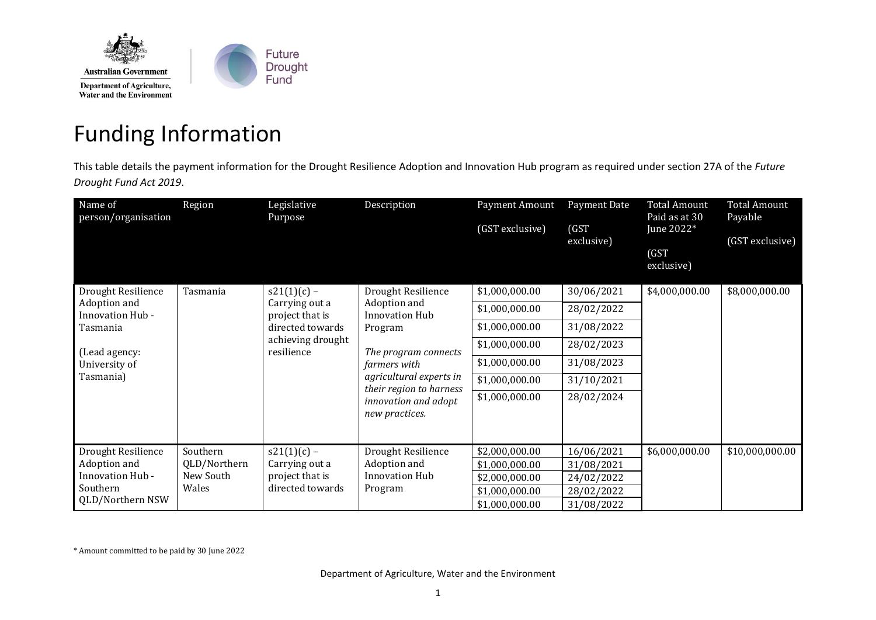

## Funding Information

This table details the payment information for the Drought Resilience Adoption and Innovation Hub program as required under section 27A of the *Future Drought Fund Act 2019*.

| Name of<br>person/organisation              | Region                    | Legislative<br>Purpose                                                                                    | Description                                                                                                                                                                                                    | Payment Amount<br>(GST exclusive) | Payment Date<br>(GST)<br>exclusive) | <b>Total Amount</b><br>Paid as at 30<br>June 2022*<br>(GST)<br>exclusive) | <b>Total Amount</b><br>Payable<br>(GST exclusive) |
|---------------------------------------------|---------------------------|-----------------------------------------------------------------------------------------------------------|----------------------------------------------------------------------------------------------------------------------------------------------------------------------------------------------------------------|-----------------------------------|-------------------------------------|---------------------------------------------------------------------------|---------------------------------------------------|
| Drought Resilience                          | Tasmania                  | $s21(1)(c)$ –<br>Carrying out a<br>project that is<br>directed towards<br>achieving drought<br>resilience | Drought Resilience<br>Adoption and<br><b>Innovation Hub</b><br>Program<br>The program connects<br>farmers with<br>agricultural experts in<br>their region to harness<br>innovation and adopt<br>new practices. | \$1,000,000.00                    | 30/06/2021                          | \$4,000,000.00                                                            | \$8,000,000.00                                    |
| Adoption and<br>Innovation Hub -            |                           |                                                                                                           |                                                                                                                                                                                                                | \$1,000,000.00                    | 28/02/2022                          |                                                                           |                                                   |
| Tasmania                                    |                           |                                                                                                           |                                                                                                                                                                                                                | \$1,000,000.00                    | 31/08/2022                          |                                                                           |                                                   |
| (Lead agency:<br>University of<br>Tasmania) |                           |                                                                                                           |                                                                                                                                                                                                                | \$1,000,000.00                    | 28/02/2023                          |                                                                           |                                                   |
|                                             |                           |                                                                                                           |                                                                                                                                                                                                                | \$1,000,000.00                    | 31/08/2023                          |                                                                           |                                                   |
|                                             |                           |                                                                                                           |                                                                                                                                                                                                                | \$1,000,000.00                    | 31/10/2021                          |                                                                           |                                                   |
|                                             |                           |                                                                                                           |                                                                                                                                                                                                                | \$1,000,000.00                    | 28/02/2024                          |                                                                           |                                                   |
| Drought Resilience                          | Southern                  | $s21(1)(c)$ –                                                                                             | Drought Resilience                                                                                                                                                                                             | \$2,000,000.00                    | 16/06/2021                          | \$6,000,000.00                                                            | \$10,000,000.00                                   |
| Adoption and<br>Innovation Hub -            | QLD/Northern<br>New South | Carrying out a<br>project that is                                                                         | Adoption and<br>Innovation Hub                                                                                                                                                                                 | \$1,000,000.00                    | 31/08/2021                          |                                                                           |                                                   |
| Southern                                    | Wales                     | directed towards                                                                                          | Program                                                                                                                                                                                                        | \$2,000,000.00<br>\$1,000,000.00  | 24/02/2022<br>28/02/2022            |                                                                           |                                                   |
| QLD/Northern NSW                            |                           |                                                                                                           |                                                                                                                                                                                                                | \$1,000,000.00                    | 31/08/2022                          |                                                                           |                                                   |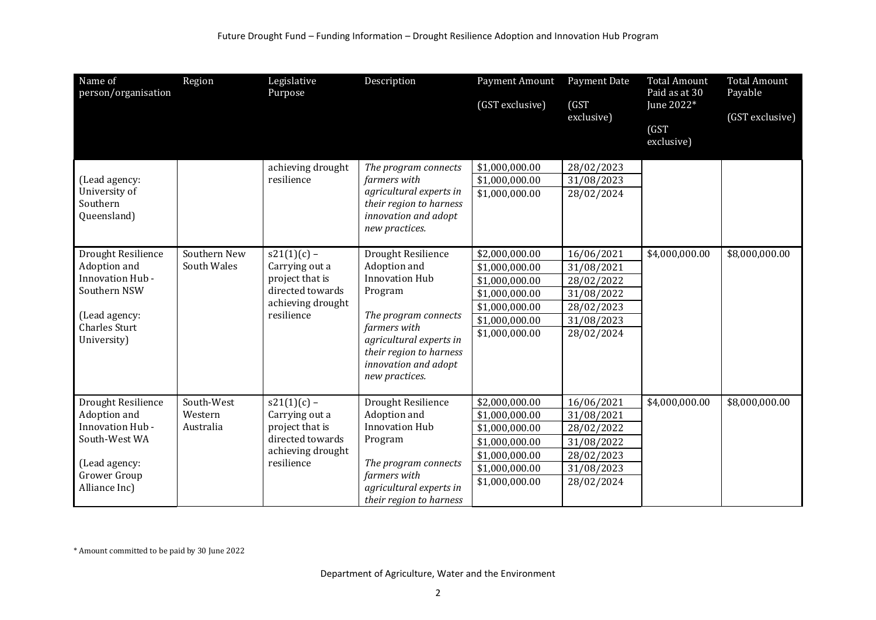| Name of<br>person/organisation                                                                                                   | Region                             | Legislative<br>Purpose                                                                                    | Description                                                                                                                                                                                                    | Payment Amount<br>(GST exclusive)                                                                                          | Payment Date<br>(GST)<br>exclusive)                                                            | <b>Total Amount</b><br>Paid as at 30<br>June 2022*<br>(GST<br>exclusive) | <b>Total Amount</b><br>Payable<br>(GST exclusive) |
|----------------------------------------------------------------------------------------------------------------------------------|------------------------------------|-----------------------------------------------------------------------------------------------------------|----------------------------------------------------------------------------------------------------------------------------------------------------------------------------------------------------------------|----------------------------------------------------------------------------------------------------------------------------|------------------------------------------------------------------------------------------------|--------------------------------------------------------------------------|---------------------------------------------------|
| (Lead agency:<br>University of<br>Southern<br>Queensland)                                                                        |                                    | achieving drought<br>resilience                                                                           | The program connects<br>farmers with<br>agricultural experts in<br>their region to harness<br>innovation and adopt<br>new practices.                                                                           | \$1,000,000.00<br>\$1,000,000.00<br>\$1,000,000.00                                                                         | 28/02/2023<br>31/08/2023<br>28/02/2024                                                         |                                                                          |                                                   |
| Drought Resilience<br>Adoption and<br>Innovation Hub -<br>Southern NSW<br>(Lead agency:<br><b>Charles Sturt</b><br>University)   | Southern New<br>South Wales        | $s21(1)(c)$ –<br>Carrying out a<br>project that is<br>directed towards<br>achieving drought<br>resilience | Drought Resilience<br>Adoption and<br><b>Innovation Hub</b><br>Program<br>The program connects<br>farmers with<br>agricultural experts in<br>their region to harness<br>innovation and adopt<br>new practices. | \$2,000,000.00<br>\$1,000,000.00<br>\$1,000,000.00<br>\$1,000,000.00<br>\$1,000,000.00<br>\$1,000,000.00<br>\$1,000,000.00 | 16/06/2021<br>31/08/2021<br>28/02/2022<br>31/08/2022<br>28/02/2023<br>31/08/2023<br>28/02/2024 | \$4,000,000.00                                                           | \$8,000,000.00                                    |
| Drought Resilience<br>Adoption and<br>Innovation Hub -<br>South-West WA<br>(Lead agency:<br><b>Grower Group</b><br>Alliance Inc) | South-West<br>Western<br>Australia | $s21(1)(c)$ -<br>Carrying out a<br>project that is<br>directed towards<br>achieving drought<br>resilience | Drought Resilience<br>Adoption and<br><b>Innovation Hub</b><br>Program<br>The program connects<br>farmers with<br>agricultural experts in<br>their region to harness                                           | \$2,000,000.00<br>\$1,000,000.00<br>\$1,000,000.00<br>\$1,000,000.00<br>\$1,000,000.00<br>\$1,000,000.00<br>\$1,000,000.00 | 16/06/2021<br>31/08/2021<br>28/02/2022<br>31/08/2022<br>28/02/2023<br>31/08/2023<br>28/02/2024 | \$4,000,000.00                                                           | \$8,000,000.00                                    |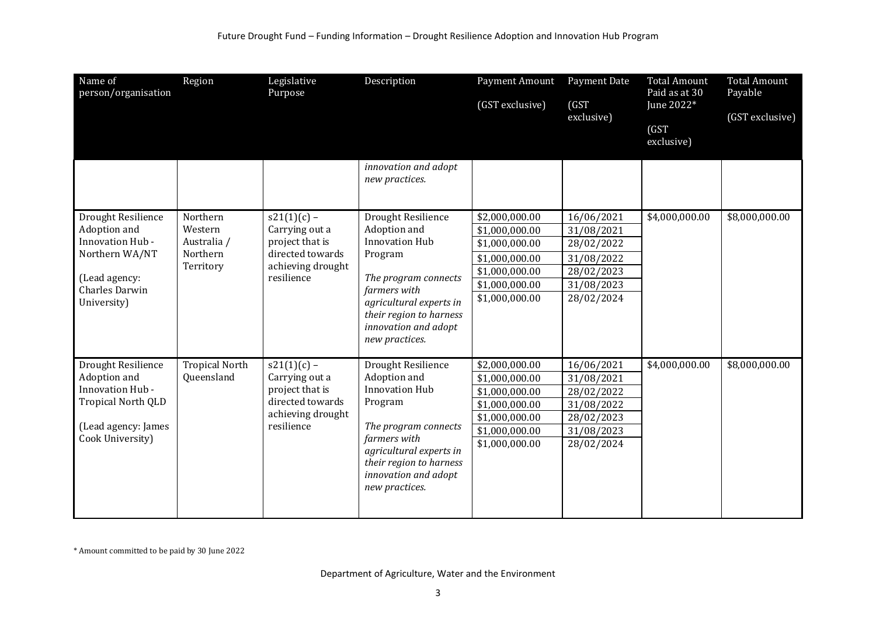| Name of<br>person/organisation                                                                                                    | Region                                                      | Legislative<br>Purpose                                                                                    | Description                                                                                                                                                                                                    | Payment Amount<br>(GST exclusive)                                                                                          | Payment Date<br>(GST)<br>exclusive)                                                            | <b>Total Amount</b><br>Paid as at 30<br>June 2022*<br>(GST)<br>exclusive) | <b>Total Amount</b><br>Payable<br>(GST exclusive) |
|-----------------------------------------------------------------------------------------------------------------------------------|-------------------------------------------------------------|-----------------------------------------------------------------------------------------------------------|----------------------------------------------------------------------------------------------------------------------------------------------------------------------------------------------------------------|----------------------------------------------------------------------------------------------------------------------------|------------------------------------------------------------------------------------------------|---------------------------------------------------------------------------|---------------------------------------------------|
|                                                                                                                                   |                                                             |                                                                                                           | innovation and adopt<br>new practices.                                                                                                                                                                         |                                                                                                                            |                                                                                                |                                                                           |                                                   |
| Drought Resilience<br>Adoption and<br>Innovation Hub -<br>Northern WA/NT<br>(Lead agency:<br><b>Charles Darwin</b><br>University) | Northern<br>Western<br>Australia /<br>Northern<br>Territory | $s21(1)(c)$ –<br>Carrying out a<br>project that is<br>directed towards<br>achieving drought<br>resilience | Drought Resilience<br>Adoption and<br><b>Innovation Hub</b><br>Program<br>The program connects<br>farmers with<br>agricultural experts in<br>their region to harness<br>innovation and adopt<br>new practices. | \$2,000,000.00<br>\$1,000,000.00<br>\$1,000,000.00<br>\$1,000,000.00<br>\$1,000,000.00<br>\$1,000,000.00<br>\$1,000,000.00 | 16/06/2021<br>31/08/2021<br>28/02/2022<br>31/08/2022<br>28/02/2023<br>31/08/2023<br>28/02/2024 | \$4,000,000.00                                                            | \$8,000,000.00                                    |
| Drought Resilience<br>Adoption and<br>Innovation Hub -<br>Tropical North QLD<br>(Lead agency: James<br>Cook University)           | <b>Tropical North</b><br>Queensland                         | $s21(1)(c)$ –<br>Carrying out a<br>project that is<br>directed towards<br>achieving drought<br>resilience | Drought Resilience<br>Adoption and<br><b>Innovation Hub</b><br>Program<br>The program connects<br>farmers with<br>agricultural experts in<br>their region to harness<br>innovation and adopt<br>new practices. | \$2,000,000.00<br>\$1,000,000.00<br>\$1,000,000.00<br>\$1,000,000.00<br>\$1,000,000.00<br>\$1,000,000.00<br>\$1,000,000.00 | 16/06/2021<br>31/08/2021<br>28/02/2022<br>31/08/2022<br>28/02/2023<br>31/08/2023<br>28/02/2024 | \$4,000,000.00                                                            | \$8,000,000.00                                    |